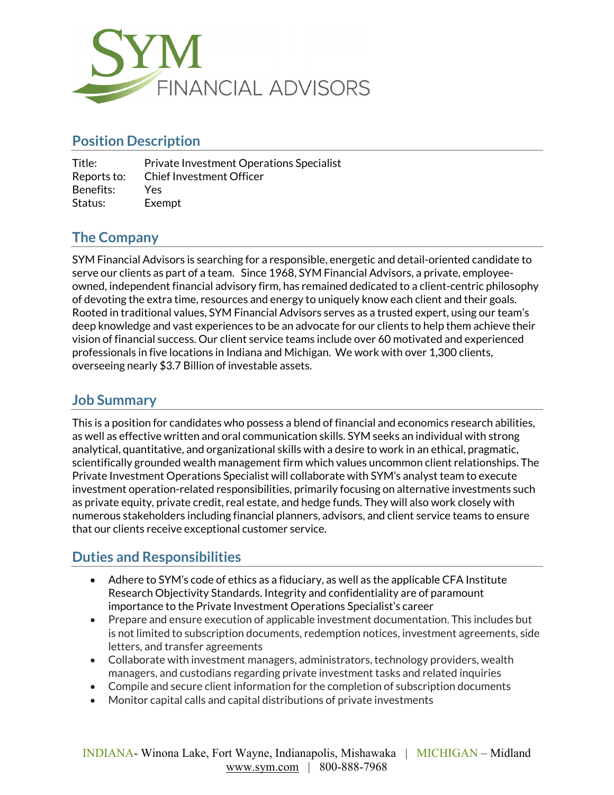

# **Position Description**

| Title:      | <b>Private Investment Operations Specialist</b> |
|-------------|-------------------------------------------------|
| Reports to: | <b>Chief Investment Officer</b>                 |
| Benefits:   | Yes                                             |
| Status:     | Exempt                                          |

### **The Company**

SYM Financial Advisors is searching for a responsible, energetic and detail-oriented candidate to serve our clients as part of a team. Since 1968, SYM Financial Advisors, a private, employeeowned, independent financial advisory firm, has remained dedicated to a client-centric philosophy of devoting the extra time, resources and energy to uniquely know each client and their goals. Rooted in traditional values, SYM Financial Advisors serves as a trusted expert, using our team's deep knowledge and vast experiences to be an advocate for our clients to help them achieve their vision of financial success. Our client service teams include over 60 motivated and experienced professionals in five locations in Indiana and Michigan. We work with over 1,300 clients, overseeing nearly \$3.7 Billion of investable assets.

### **Job Summary**

This is a position for candidates who possess a blend of financial and economics research abilities, as well as effective written and oral communication skills. SYM seeks an individual with strong analytical, quantitative, and organizational skills with a desire to work in an ethical, pragmatic, scientifically grounded wealth management firm which values uncommon client relationships. The Private Investment Operations Specialist will collaborate with SYM's analyst team to execute investment operation-related responsibilities, primarily focusing on alternative investments such as private equity, private credit, real estate, and hedge funds. They will also work closely with numerous stakeholders including financial planners, advisors, and client service teams to ensure that our clients receive exceptional customer service.

# **Duties and Responsibilities**

- Adhere to SYM's code of ethics as a fiduciary, as well as the applicable CFA Institute Research Objectivity Standards. Integrity and confidentiality are of paramount importance to the Private Investment Operations Specialist's career
- Prepare and ensure execution of applicable investment documentation. This includes but is not limited to subscription documents, redemption notices, investment agreements, side letters, and transfer agreements
- Collaborate with investment managers, administrators, technology providers, wealth managers, and custodians regarding private investment tasks and related inquiries
- Compile and secure client information for the completion of subscription documents
- Monitor capital calls and capital distributions of private investments